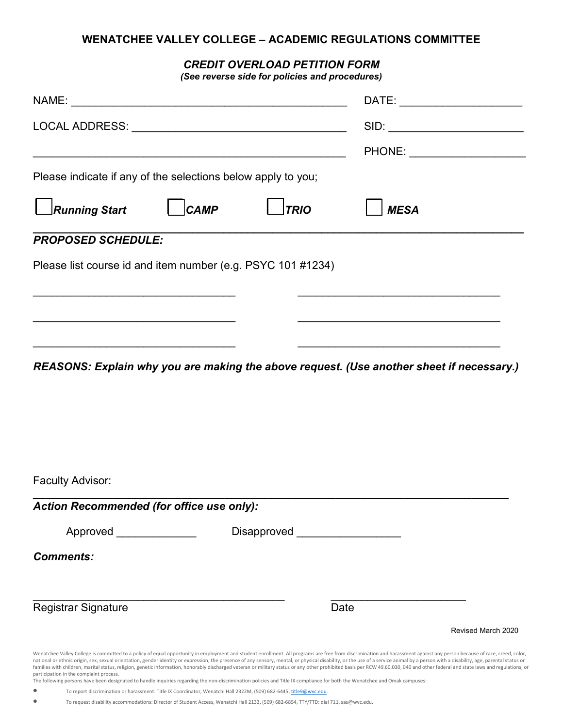## **WENATCHEE VALLEY COLLEGE – ACADEMIC REGULATIONS COMMITTEE**

*CREDIT OVERLOAD PETITION FORM*

*(See reverse side for policies and procedures)*

|                                                                                                                                                                                                                                                                                                                                                                                                                                                                                                                                                                                                                                                                                            |             |                                   |      |                                                                                           | DATE: ________________________ |
|--------------------------------------------------------------------------------------------------------------------------------------------------------------------------------------------------------------------------------------------------------------------------------------------------------------------------------------------------------------------------------------------------------------------------------------------------------------------------------------------------------------------------------------------------------------------------------------------------------------------------------------------------------------------------------------------|-------------|-----------------------------------|------|-------------------------------------------------------------------------------------------|--------------------------------|
|                                                                                                                                                                                                                                                                                                                                                                                                                                                                                                                                                                                                                                                                                            |             |                                   |      |                                                                                           | SID:                           |
|                                                                                                                                                                                                                                                                                                                                                                                                                                                                                                                                                                                                                                                                                            |             |                                   |      |                                                                                           |                                |
| Please indicate if any of the selections below apply to you;                                                                                                                                                                                                                                                                                                                                                                                                                                                                                                                                                                                                                               |             |                                   |      |                                                                                           |                                |
| <b>Running Start</b>                                                                                                                                                                                                                                                                                                                                                                                                                                                                                                                                                                                                                                                                       | <b>CAMP</b> | <b>TRIO</b>                       |      | <b>MESA</b>                                                                               |                                |
| <b>PROPOSED SCHEDULE:</b>                                                                                                                                                                                                                                                                                                                                                                                                                                                                                                                                                                                                                                                                  |             |                                   |      |                                                                                           |                                |
| Please list course id and item number (e.g. PSYC 101 #1234)                                                                                                                                                                                                                                                                                                                                                                                                                                                                                                                                                                                                                                |             |                                   |      |                                                                                           |                                |
|                                                                                                                                                                                                                                                                                                                                                                                                                                                                                                                                                                                                                                                                                            |             |                                   |      |                                                                                           |                                |
|                                                                                                                                                                                                                                                                                                                                                                                                                                                                                                                                                                                                                                                                                            |             |                                   |      |                                                                                           |                                |
| the control of the control of the control of the control of the control of the control of                                                                                                                                                                                                                                                                                                                                                                                                                                                                                                                                                                                                  |             |                                   |      | the control of the control of the control of the control of the control of the control of |                                |
|                                                                                                                                                                                                                                                                                                                                                                                                                                                                                                                                                                                                                                                                                            |             |                                   |      |                                                                                           |                                |
| Faculty Advisor:                                                                                                                                                                                                                                                                                                                                                                                                                                                                                                                                                                                                                                                                           |             |                                   |      |                                                                                           |                                |
| <b>Action Recommended (for office use only):</b>                                                                                                                                                                                                                                                                                                                                                                                                                                                                                                                                                                                                                                           |             |                                   |      |                                                                                           |                                |
| Approved _______________                                                                                                                                                                                                                                                                                                                                                                                                                                                                                                                                                                                                                                                                   |             | Disapproved _____________________ |      |                                                                                           |                                |
| <b>Comments:</b>                                                                                                                                                                                                                                                                                                                                                                                                                                                                                                                                                                                                                                                                           |             |                                   |      |                                                                                           |                                |
| <b>Registrar Signature</b>                                                                                                                                                                                                                                                                                                                                                                                                                                                                                                                                                                                                                                                                 |             |                                   | Date |                                                                                           |                                |
|                                                                                                                                                                                                                                                                                                                                                                                                                                                                                                                                                                                                                                                                                            |             |                                   |      |                                                                                           | Revised March 2020             |
| Wenatchee Valley College is committed to a policy of equal opportunity in employment and student enrollment. All programs are free from discrimination and harassment against any person because of race, creed, color,<br>national or ethnic origin, sex, sexual orientation, gender identity or expression, the presence of any sensory, mental, or physical disability, or the use of a service animal by a person with a disability, age, parental st<br>families with children, marital status, religion, genetic information, honorably discharged veteran or military status or any other prohibited basis per RCW 49.60.030, 040 and other federal and state laws and regulations, |             |                                   |      |                                                                                           |                                |

participation in the complaint process. The following persons have been designated to handle inquiries regarding the non-discrimination policies and Title IX compliance for both the Wenatchee and Omak campuses:

• To report discrimination or harassment: Title IX Coordinator, Wenatchi Hall 2322M, (509) 682-6445[, title9@wvc.edu.](mailto:title9@wvc.edu)

• To request disability accommodations: Director of Student Access, Wenatchi Hall 2133, (509) 682-6854, TTY/TTD: dial 711, sas@wvc.edu.